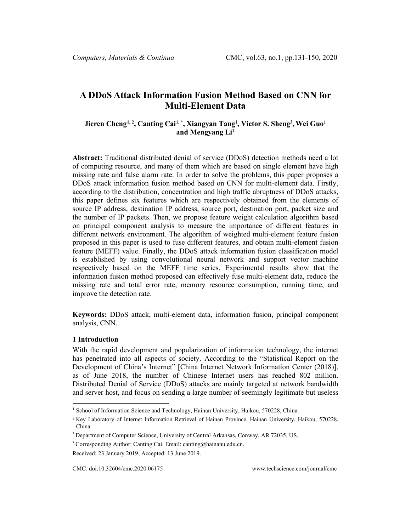# **A DDoS Attack Information Fusion Method Based on CNN for Multi-Element Data**

# **Jieren Cheng[1,](#page-0-0) 2, Canting Cai1, \*, Xiangyan Tang1 , Victor S. Sheng3 ,Wei Guo1** and Mengyang Li<sup>1</sup>

**Abstract:** Traditional distributed denial of service (DDoS) detection methods need a lot of computing resource, and many of them which are based on single element have high missing rate and false alarm rate. In order to solve the problems, this paper proposes a DDoS attack information fusion method based on CNN for multi-element data. Firstly, according to the distribution, concentration and high traffic abruptness of DDoS attacks, this paper defines six features which are respectively obtained from the elements of source IP address, destination IP address, source port, destination port, packet size and the number of IP packets. Then, we propose feature weight calculation algorithm based on principal component analysis to measure the importance of different features in different network environment. The algorithm of weighted multi-element feature fusion proposed in this paper is used to fuse different features, and obtain multi-element fusion feature (MEFF) value. Finally, the DDoS attack information fusion classification model is established by using convolutional neural network and support vector machine respectively based on the MEFF time series. Experimental results show that the information fusion method proposed can effectively fuse multi-element data, reduce the missing rate and total error rate, memory resource consumption, running time, and improve the detection rate.

**Keywords:** DDoS attack, multi-element data, information fusion, principal component analysis, CNN.

## **1 Introduction**

With the rapid development and popularization of information technology, the internet has penetrated into all aspects of society. According to the "Statistical Report on the Development of China's Internet" [China Internet Network Information Center (2018)], as of June 2018, the number of Chinese Internet users has reached 802 million. Distributed Denial of Service (DDoS) attacks are mainly targeted at network bandwidth and server host, and focus on sending a large number of seemingly legitimate but useless

<span id="page-0-0"></span><sup>&</sup>lt;sup>1</sup> School of Information Science and Technology, Hainan University, Haikou, 570228, China.

<sup>2</sup> Key Laboratory of Internet Information Retrieval of Hainan Province, Hainan University, Haikou, 570228, China.

<sup>&</sup>lt;sup>3</sup> Department of Computer Science, University of Central Arkansas, Conway, AR 72035, US.

<sup>\*</sup> Corresponding Author: Canting Cai. Email: canting@hainanu.edu.cn.

Received: 23 January 2019; Accepted: 13 June 2019.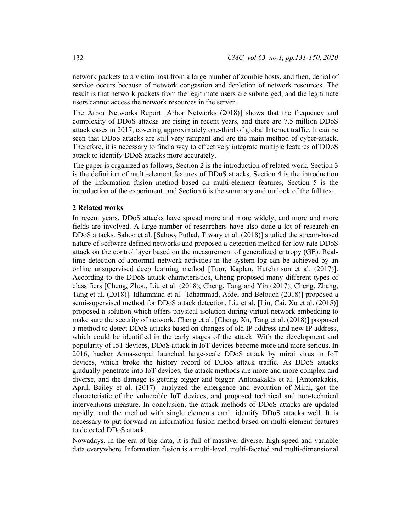network packets to a victim host from a large number of zombie hosts, and then, denial of service occurs because of network congestion and depletion of network resources. The result is that network packets from the legitimate users are submerged, and the legitimate users cannot access the network resources in the server.

The Arbor Networks Report [Arbor Networks (2018)] shows that the frequency and complexity of DDoS attacks are rising in recent years, and there are 7.5 million DDoS attack cases in 2017, covering approximately one-third of global Internet traffic. It can be seen that DDoS attacks are still very rampant and are the main method of cyber-attack. Therefore, it is necessary to find a way to effectively integrate multiple features of DDoS attack to identify DDoS attacks more accurately.

The paper is organized as follows, Section 2 is the introduction of related work, Section 3 is the definition of multi-element features of DDoS attacks, Section 4 is the introduction of the information fusion method based on multi-element features, Section 5 is the introduction of the experiment, and Section 6 is the summary and outlook of the full text.

#### **2 Related works**

In recent years, DDoS attacks have spread more and more widely, and more and more fields are involved. A large number of researchers have also done a lot of research on DDoS attacks. Sahoo et al. [Sahoo, Puthal, Tiwary et al. (2018)] studied the stream-based nature of software defined networks and proposed a detection method for low-rate DDoS attack on the control layer based on the measurement of generalized entropy (GE). Realtime detection of abnormal network activities in the system log can be achieved by an online unsupervised deep learning method [Tuor, Kaplan, Hutchinson et al. (2017)]. According to the DDoS attack characteristics, Cheng proposed many different types of classifiers [Cheng, Zhou, Liu et al. (2018); Cheng, Tang and Yin (2017); Cheng, Zhang, Tang et al. (2018)]. Idhammad et al. [Idhammad, Afdel and Belouch (2018)] proposed a semi-supervised method for DDoS attack detection. Liu et al. [Liu, Cai, Xu et al. (2015)] proposed a solution which offers physical isolation during virtual network embedding to make sure the security of network. Cheng et al. [Cheng, Xu, Tang et al. (2018)] proposed a method to detect DDoS attacks based on changes of old IP address and new IP address, which could be identified in the early stages of the attack. With the development and popularity of IoT devices, DDoS attack in IoT devices become more and more serious. In 2016, hacker Anna-senpai launched large-scale DDoS attack by mirai virus in IoT devices, which broke the history record of DDoS attack traffic. As DDoS attacks gradually penetrate into IoT devices, the attack methods are more and more complex and diverse, and the damage is getting bigger and bigger. Antonakakis et al. [Antonakakis, April, Bailey et al. (2017)] analyzed the emergence and evolution of Mirai, got the characteristic of the vulnerable IoT devices, and proposed technical and non-technical interventions measure. In conclusion, the attack methods of DDoS attacks are updated rapidly, and the method with single elements can't identify DDoS attacks well. It is necessary to put forward an information fusion method based on multi-element features to detected DDoS attack.

Nowadays, in the era of big data, it is full of massive, diverse, high-speed and variable data everywhere. Information fusion is a multi-level, multi-faceted and multi-dimensional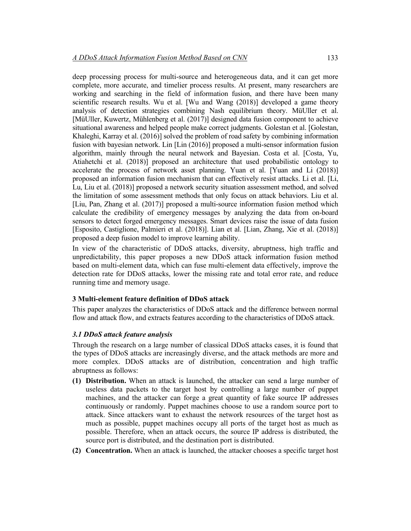deep processing process for multi-source and heterogeneous data, and it can get more complete, more accurate, and timelier process results. At present, many researchers are working and searching in the field of information fusion, and there have been many scientific research results. Wu et al. [Wu and Wang (2018)] developed a game theory analysis of detection strategies combining Nash equilibrium theory. MüUller et al. [MüUller, Kuwertz, Mühlenberg et al. (2017)] designed data fusion component to achieve situational awareness and helped people make correct judgments. Golestan et al. [Golestan, Khaleghi, Karray et al. (2016)] solved the problem of road safety by combining information fusion with bayesian network. Lin [Lin (2016)] proposed a multi-sensor information fusion algorithm, mainly through the neural network and Bayesian. Costa et al. [Costa, Yu, Atiahetchi et al. (2018)] proposed an architecture that used probabilistic ontology to accelerate the process of network asset planning. Yuan et al. [Yuan and Li (2018)] proposed an information fusion mechanism that can effectively resist attacks. Li et al. [Li, Lu, Liu et al. (2018)] proposed a network security situation assessment method, and solved the limitation of some assessment methods that only focus on attack behaviors. Liu et al. [Liu, Pan, Zhang et al. (2017)] proposed a multi-source information fusion method which calculate the credibility of emergency messages by analyzing the data from on-board sensors to detect forged emergency messages. Smart devices raise the issue of data fusion [Esposito, Castiglione, Palmieri et al. (2018)]. Lian et al. [Lian, Zhang, Xie et al. (2018)] proposed a deep fusion model to improve learning ability.

In view of the characteristic of DDoS attacks, diversity, abruptness, high traffic and unpredictability, this paper proposes a new DDoS attack information fusion method based on multi-element data, which can fuse multi-element data effectively, improve the detection rate for DDoS attacks, lower the missing rate and total error rate, and reduce running time and memory usage.

## **3 Multi-element feature definition of DDoS attack**

This paper analyzes the characteristics of DDoS attack and the difference between normal flow and attack flow, and extracts features according to the characteristics of DDoS attack.

## *3.1 DDoS attack feature analysis*

Through the research on a large number of classical DDoS attacks cases, it is found that the types of DDoS attacks are increasingly diverse, and the attack methods are more and more complex. DDoS attacks are of distribution, concentration and high traffic abruptness as follows:

- **(1) Distribution.** When an attack is launched, the attacker can send a large number of useless data packets to the target host by controlling a large number of puppet machines, and the attacker can forge a great quantity of fake source IP addresses continuously or randomly. Puppet machines choose to use a random source port to attack. Since attackers want to exhaust the network resources of the target host as much as possible, puppet machines occupy all ports of the target host as much as possible. Therefore, when an attack occurs, the source IP address is distributed, the source port is distributed, and the destination port is distributed.
- **(2) Concentration.** When an attack is launched, the attacker chooses a specific target host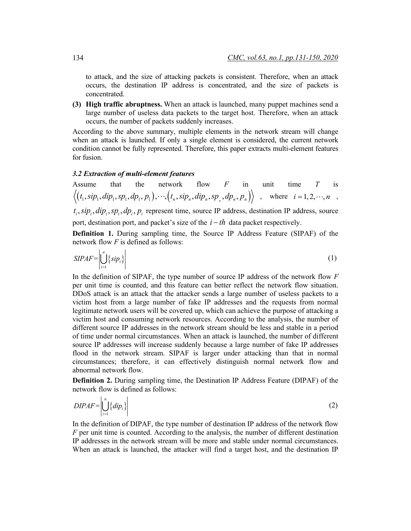to attack, and the size of attacking packets is consistent. Therefore, when an attack occurs, the destination IP address is concentrated, and the size of packets is concentrated.

**(3) High traffic abruptness.** When an attack is launched, many puppet machines send a large number of useless data packets to the target host. Therefore, when an attack occurs, the number of packets suddenly increases.

According to the above summary, multiple elements in the network stream will change when an attack is launched. If only a single element is considered, the current network condition cannot be fully represented. Therefore, this paper extracts multi-element features for fusion.

#### *3.2 Extraction of multi-element features*

Assume that the network flow *F* in unit time *T* is  $\langle (t_1, \textit{sip}_1, \textit{dip}_1, \textit{sp}_1, \textit{dp}_1, \textit{p}_1), \cdots, (t_n, \textit{sip}_n, \textit{dip}_n, \textit{sp}_n, \textit{dp}_n, \textit{p}_n) \rangle$ , where  $i = 1, 2, \cdots, n$ ,

 $t_i$ ,  $\sin \theta_i$ ,  $\sin \theta_i$ ,  $\sin \theta_i$ ,  $p_i$  represent time, source IP address, destination IP address, source port, destination port, and packet's size of the *i* − *th* data packet respectively.

**Definition 1.** During sampling time, the Source IP Address Feature (SIPAF) of the network flow *F* is defined as follows:

$$
SIPAF = \left| \bigcup_{i=1}^{n} \{ \sin(i) \} \right| \tag{1}
$$

In the definition of SIPAF, the type number of source IP address of the network flow *F* per unit time is counted, and this feature can better reflect the network flow situation. DDoS attack is an attack that the attacker sends a large number of useless packets to a victim host from a large number of fake IP addresses and the requests from normal legitimate network users will be covered up, which can achieve the purpose of attacking a victim host and consuming network resources. According to the analysis, the number of different source IP addresses in the network stream should be less and stable in a period of time under normal circumstances. When an attack is launched, the number of different source IP addresses will increase suddenly because a large number of fake IP addresses flood in the network stream. SIPAF is larger under attacking than that in normal circumstances; therefore, it can effectively distinguish normal network flow and abnormal network flow.

**Definition 2.** During sampling time, the Destination IP Address Feature (DIPAF) of the network flow is defined as follows:

$$
DIPAF = \left| \bigcup_{i=1}^{n} \{ dip_i\} \right| \tag{2}
$$

In the definition of DIPAF, the type number of destination IP address of the network flow *F* per unit time is counted. According to the analysis, the number of different destination IP addresses in the network stream will be more and stable under normal circumstances. When an attack is launched, the attacker will find a target host, and the destination IP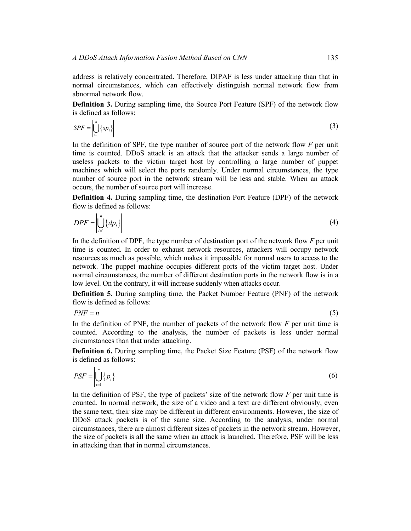address is relatively concentrated. Therefore, DIPAF is less under attacking than that in normal circumstances, which can effectively distinguish normal network flow from abnormal network flow.

**Definition 3.** During sampling time, the Source Port Feature (SPF) of the network flow is defined as follows:

$$
SPF = \left| \bigcup_{i=1}^{n} \{sp_i\} \right| \tag{3}
$$

In the definition of SPF, the type number of source port of the network flow *F* per unit time is counted. DDoS attack is an attack that the attacker sends a large number of useless packets to the victim target host by controlling a large number of puppet machines which will select the ports randomly. Under normal circumstances, the type number of source port in the network stream will be less and stable. When an attack occurs, the number of source port will increase.

**Definition 4.** During sampling time, the destination Port Feature (DPF) of the network flow is defined as follows:

$$
DPF = \left| \bigcup_{i=1}^{n} \{ dp_i \} \right| \tag{4}
$$

In the definition of DPF, the type number of destination port of the network flow *F* per unit time is counted. In order to exhaust network resources, attackers will occupy network resources as much as possible, which makes it impossible for normal users to access to the network. The puppet machine occupies different ports of the victim target host. Under normal circumstances, the number of different destination ports in the network flow is in a low level. On the contrary, it will increase suddenly when attacks occur.

**Definition 5.** During sampling time, the Packet Number Feature (PNF) of the network flow is defined as follows:

 $PNF = n$  (5)

In the definition of PNF, the number of packets of the network flow *F* per unit time is counted. According to the analysis, the number of packets is less under normal circumstances than that under attacking.

**Definition 6.** During sampling time, the Packet Size Feature (PSF) of the network flow is defined as follows:

$$
PSF = \left| \bigcup_{i=1}^{n} \{p_i\} \right| \tag{6}
$$

In the definition of PSF, the type of packets' size of the network flow *F* per unit time is counted. In normal network, the size of a video and a text are different obviously, even the same text, their size may be different in different environments. However, the size of DDoS attack packets is of the same size. According to the analysis, under normal circumstances, there are almost different sizes of packets in the network stream. However, the size of packets is all the same when an attack is launched. Therefore, PSF will be less in attacking than that in normal circumstances.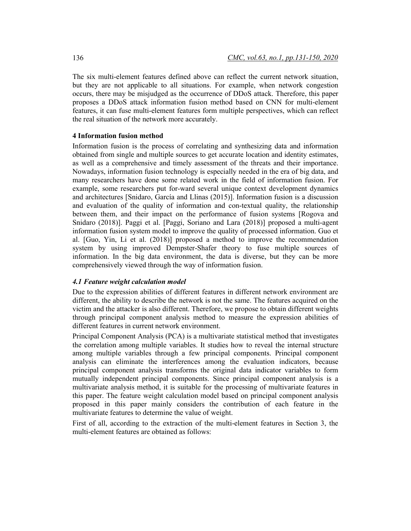The six multi-element features defined above can reflect the current network situation, but they are not applicable to all situations. For example, when network congestion occurs, there may be misjudged as the occurrence of DDoS attack. Therefore, this paper proposes a DDoS attack information fusion method based on CNN for multi-element features, it can fuse multi-element features form multiple perspectives, which can reflect the real situation of the network more accurately.

#### **4 Information fusion method**

Information fusion is the process of correlating and synthesizing data and information obtained from single and multiple sources to get accurate location and identity estimates, as well as a comprehensive and timely assessment of the threats and their importance. Nowadays, information fusion technology is especially needed in the era of big data, and many researchers have done some related work in the field of information fusion. For example, some researchers put for-ward several unique context development dynamics and architectures [Snidaro, García and Llinas (2015)]. Information fusion is a discussion and evaluation of the quality of information and con-textual quality, the relationship between them, and their impact on the performance of fusion systems [Rogova and Snidaro (2018)]. Paggi et al. [Paggi, Soriano and Lara (2018)] proposed a multi-agent information fusion system model to improve the quality of processed information. Guo et al. [Guo, Yin, Li et al. (2018)] proposed a method to improve the recommendation system by using improved Dempster-Shafer theory to fuse multiple sources of information. In the big data environment, the data is diverse, but they can be more comprehensively viewed through the way of information fusion.

## *4.1 Feature weight calculation model*

Due to the expression abilities of different features in different network environment are different, the ability to describe the network is not the same. The features acquired on the victim and the attacker is also different. Therefore, we propose to obtain different weights through principal component analysis method to measure the expression abilities of different features in current network environment.

Principal Component Analysis (PCA) is a multivariate statistical method that investigates the correlation among multiple variables. It studies how to reveal the internal structure among multiple variables through a few principal components. Principal component analysis can eliminate the interferences among the evaluation indicators, because principal component analysis transforms the original data indicator variables to form mutually independent principal components. Since principal component analysis is a multivariate analysis method, it is suitable for the processing of multivariate features in this paper. The feature weight calculation model based on principal component analysis proposed in this paper mainly considers the contribution of each feature in the multivariate features to determine the value of weight.

First of all, according to the extraction of the multi-element features in Section 3, the multi-element features are obtained as follows: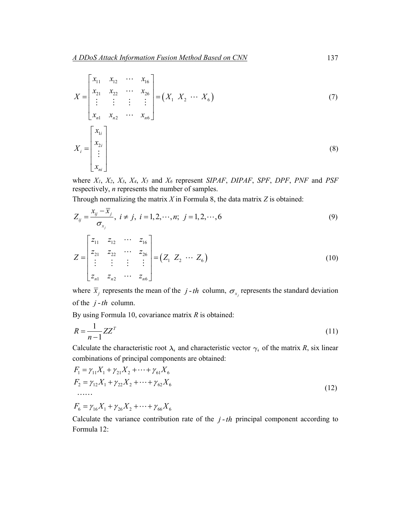$$
X = \begin{bmatrix} x_{11} & x_{12} & \cdots & x_{16} \\ x_{21} & x_{22} & \cdots & x_{26} \\ \vdots & \vdots & \vdots & \vdots \\ x_{n1} & x_{n2} & \cdots & x_{n6} \end{bmatrix} = (X_1 \ X_2 \ \cdots \ X_6)
$$
(7)  

$$
X_i = \begin{bmatrix} x_{1i} \\ x_{2i} \\ \vdots \\ x_{ni} \end{bmatrix}
$$
(8)

where *X1*, *X2*, *X3*, *X4*, *X5* and *X6* represent *SIPAF*, *DIPAF*, *SPF*, *DPF*, *PNF* and *PSF* respectively, *n* represents the number of samples.

Through normalizing the matrix *X* in Formula 8, the data matrix *Z* is obtained:

$$
Z_{ij} = \frac{x_{ij} - \overline{x}_j}{\sigma_{x_j}}, \quad i \neq j, \quad i = 1, 2, \dots, n; \quad j = 1, 2, \dots, 6
$$
\n
$$
Z = \begin{bmatrix} z_{11} & z_{12} & \cdots & z_{16} \\ z_{21} & z_{22} & \cdots & z_{26} \\ \vdots & \vdots & \vdots & \vdots \\ z_{n1} & z_{n2} & \cdots & z_{n6} \end{bmatrix} = (Z_1 \ Z_2 \ \cdots \ Z_6)
$$
\n(10)

where  $\overline{x}_j$  represents the mean of the *j*-th column,  $\sigma_{x_j}$  represents the standard deviation of the  $j-th$  column.

By using Formula 10, covariance matrix *R* is obtained:

$$
R = \frac{1}{n-1} Z Z^T
$$
\n<sup>(11)</sup>

Calculate the characteristic root  $\lambda_i$  and characteristic vector  $\gamma_i$  of the matrix *R*, six linear combinations of principal components are obtained:

$$
F_1 = \gamma_{11} X_1 + \gamma_{21} X_2 + \dots + \gamma_{61} X_6
$$
  
\n
$$
F_2 = \gamma_{12} X_1 + \gamma_{22} X_2 + \dots + \gamma_{62} X_6
$$
  
\n
$$
\dots
$$
  
\n
$$
F_6 = \gamma_{16} X_1 + \gamma_{26} X_2 + \dots + \gamma_{66} X_6
$$
  
\n(12)

Calculate the variance contribution rate of the  $j$ - $th$  principal component according to Formula 12: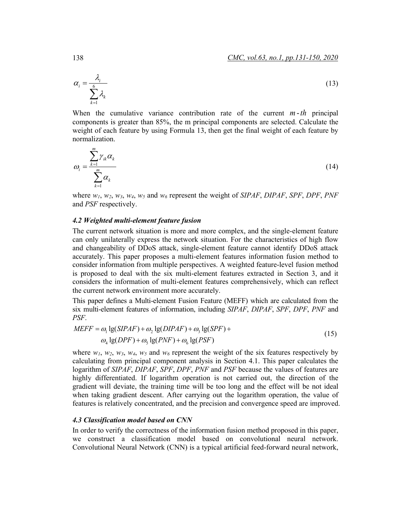$$
\alpha_i = \frac{\lambda_i}{\sum_{k=1}^6 \lambda_k} \tag{13}
$$

When the cumulative variance contribution rate of the current  $m-th$  principal components is greater than 85%, the m principal components are selected. Calculate the weight of each feature by using Formula 13, then get the final weight of each feature by normalization.

$$
\omega_i = \frac{\sum_{k=1}^{m} \gamma_{ik} \alpha_k}{\sum_{k=1}^{m} \alpha_k} \tag{14}
$$

where *w1*, *w2*, *w3*, *w4*, *w5* and *w6* represent the weight of *SIPAF*, *DIPAF*, *SPF*, *DPF*, *PNF* and *PSF* respectively.

#### *4.2 Weighted multi-element feature fusion*

The current network situation is more and more complex, and the single-element feature can only unilaterally express the network situation. For the characteristics of high flow and changeability of DDoS attack, single-element feature cannot identify DDoS attack accurately. This paper proposes a multi-element features information fusion method to consider information from multiple perspectives. A weighted feature-level fusion method is proposed to deal with the six multi-element features extracted in Section 3, and it considers the information of multi-element features comprehensively, which can reflect the current network environment more accurately.

This paper defines a Multi-element Fusion Feature (MEFF) which are calculated from the six multi-element features of information, including *SIPAF*, *DIPAF*, *SPF*, *DPF*, *PNF* and *PSF*.

$$
MEFF = \omega_1 \lg(SIPAF) + \omega_2 \lg(DIPAF) + \omega_3 \lg(SPF) +
$$
  
\n
$$
\omega_4 \lg(DPF) + \omega_5 \lg(PNF) + \omega_6 \lg(PSF)
$$
\n(15)

where  $w_1$ ,  $w_2$ ,  $w_3$ ,  $w_4$ ,  $w_5$  and  $w_6$  represent the weight of the six features respectively by calculating from principal component analysis in Section 4.1. This paper calculates the logarithm of *SIPAF*, *DIPAF*, *SPF*, *DPF*, *PNF* and *PSF* because the values of features are highly differentiated. If logarithm operation is not carried out, the direction of the gradient will deviate, the training time will be too long and the effect will be not ideal when taking gradient descent. After carrying out the logarithm operation, the value of features is relatively concentrated, and the precision and convergence speed are improved.

## *4.3 Classification model based on CNN*

In order to verify the correctness of the information fusion method proposed in this paper, we construct a classification model based on convolutional neural network. Convolutional Neural Network (CNN) is a typical artificial feed-forward neural network,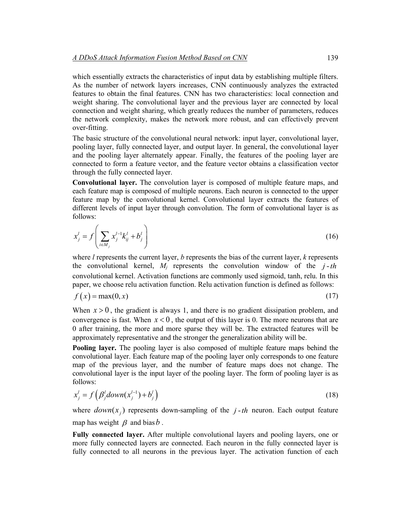which essentially extracts the characteristics of input data by establishing multiple filters. As the number of network layers increases, CNN continuously analyzes the extracted features to obtain the final features. CNN has two characteristics: local connection and weight sharing. The convolutional layer and the previous layer are connected by local connection and weight sharing, which greatly reduces the number of parameters, reduces the network complexity, makes the network more robust, and can effectively prevent over-fitting.

The basic structure of the convolutional neural network: input layer, convolutional layer, pooling layer, fully connected layer, and output layer. In general, the convolutional layer and the pooling layer alternately appear. Finally, the features of the pooling layer are connected to form a feature vector, and the feature vector obtains a classification vector through the fully connected layer.

**Convolutional layer.** The convolution layer is composed of multiple feature maps, and each feature map is composed of multiple neurons. Each neuron is connected to the upper feature map by the convolutional kernel. Convolutional layer extracts the features of different levels of input layer through convolution. The form of convolutional layer is as follows:

$$
x_j^l = f\left(\sum_{i \in M_j} x_j^{l-1} k_{ij}^l + b_j^l\right) \tag{16}
$$

where *l* represents the current layer, *b* represents the bias of the current layer, *k* represents the convolutional kernel,  $M_i$  represents the convolution window of the  $j-th$ convolutional kernel. Activation functions are commonly used sigmoid, tanh, relu. In this paper, we choose relu activation function. Relu activation function is defined as follows:

$$
f(x) = \max(0, x) \tag{17}
$$

When  $x > 0$ , the gradient is always 1, and there is no gradient dissipation problem, and convergence is fast. When  $x < 0$ , the output of this layer is 0. The more neurons that are 0 after training, the more and more sparse they will be. The extracted features will be approximately representative and the stronger the generalization ability will be.

**Pooling layer.** The pooling layer is also composed of multiple feature maps behind the convolutional layer. Each feature map of the pooling layer only corresponds to one feature map of the previous layer, and the number of feature maps does not change. The convolutional layer is the input layer of the pooling layer. The form of pooling layer is as follows:

$$
x_j^l = f\left(\beta_j^l \text{down}(x_j^{l-1}) + b_j^l\right) \tag{18}
$$

where  $down(x_i)$  represents down-sampling of the  $j$ -th neuron. Each output feature map has weight  $\beta$  and bias  $\alpha$ .

**Fully connected layer.** After multiple convolutional layers and pooling layers, one or more fully connected layers are connected. Each neuron in the fully connected layer is fully connected to all neurons in the previous layer. The activation function of each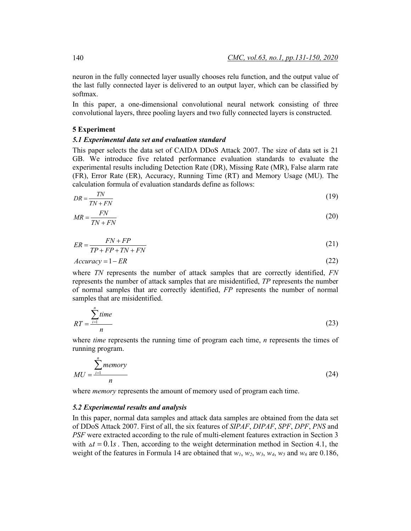neuron in the fully connected layer usually chooses relu function, and the output value of the last fully connected layer is delivered to an output layer, which can be classified by softmax.

In this paper, a one-dimensional convolutional neural network consisting of three convolutional layers, three pooling layers and two fully connected layers is constructed.

#### **5 Experiment**

#### *5.1 Experimental data set and evaluation standard*

This paper selects the data set of CAIDA DDoS Attack 2007. The size of data set is 21 GB. We introduce five related performance evaluation standards to evaluate the experimental results including Detection Rate (DR), Missing Rate (MR), False alarm rate (FR), Error Rate (ER), Accuracy, Running Time (RT) and Memory Usage (MU). The calculation formula of evaluation standards define as follows:

$$
DR = \frac{TN}{TN + FN} \tag{19}
$$

$$
MR = \frac{FN}{TN + FN} \tag{20}
$$

$$
ER = \frac{FN + FP}{TP + FP + TN + FN}
$$
\n<sup>(21)</sup>

$$
Accuracy = 1 - ER
$$
 (22)

where *TN* represents the number of attack samples that are correctly identified, *FN* represents the number of attack samples that are misidentified, *TP* represents the number of normal samples that are correctly identified, *FP* represents the number of normal samples that are misidentified.

$$
RT = \frac{\sum_{i=1}^{n} time}{n}
$$
 (23)

where *time* represents the running time of program each time, *n* represents the times of running program.

$$
MU = \frac{\sum_{i=1}^{n} \text{memory}}{n} \tag{24}
$$

where *memory* represents the amount of memory used of program each time.

#### *5.2 Experimental results and analysis*

In this paper, normal data samples and attack data samples are obtained from the data set of DDoS Attack 2007. First of all, the six features of *SIPAF*, *DIPAF*, *SPF*, *DPF*, *PNS* and *PSF* were extracted according to the rule of multi-element features extraction in Section 3 with  $\Delta t = 0.1s$ . Then, according to the weight determination method in Section 4.1, the weight of the features in Formula 14 are obtained that  $w_1$ ,  $w_2$ ,  $w_3$ ,  $w_4$ ,  $w_5$  and  $w_6$  are 0.186,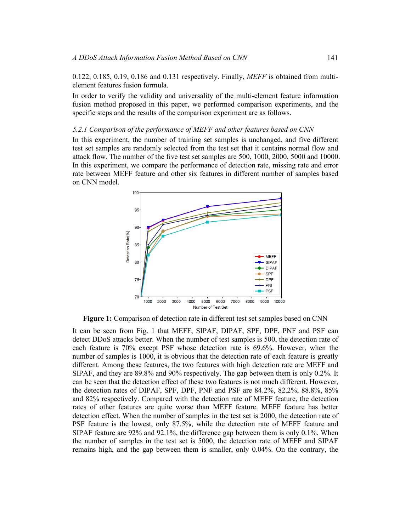0.122, 0.185, 0.19, 0.186 and 0.131 respectively. Finally, *MEFF* is obtained from multielement features fusion formula.

In order to verify the validity and universality of the multi-element feature information fusion method proposed in this paper, we performed comparison experiments, and the specific steps and the results of the comparison experiment are as follows.

# *5.2.1 Comparison of the performance of MEFF and other features based on CNN*

In this experiment, the number of training set samples is unchanged, and five different test set samples are randomly selected from the test set that it contains normal flow and attack flow. The number of the five test set samples are 500, 1000, 2000, 5000 and 10000. In this experiment, we compare the performance of detection rate, missing rate and error rate between MEFF feature and other six features in different number of samples based on CNN model.



**Figure 1:** Comparison of detection rate in different test set samples based on CNN

It can be seen from Fig. 1 that MEFF, SIPAF, DIPAF, SPF, DPF, PNF and PSF can detect DDoS attacks better. When the number of test samples is 500, the detection rate of each feature is 70% except PSF whose detection rate is 69.6%. However, when the number of samples is 1000, it is obvious that the detection rate of each feature is greatly different. Among these features, the two features with high detection rate are MEFF and SIPAF, and they are 89.8% and 90% respectively. The gap between them is only 0.2%. It can be seen that the detection effect of these two features is not much different. However, the detection rates of DIPAF, SPF, DPF, PNF and PSF are 84.2%, 82.2%, 88.8%, 85% and 82% respectively. Compared with the detection rate of MEFF feature, the detection rates of other features are quite worse than MEFF feature. MEFF feature has better detection effect. When the number of samples in the test set is 2000, the detection rate of PSF feature is the lowest, only 87.5%, while the detection rate of MEFF feature and SIPAF feature are 92% and 92.1%, the difference gap between them is only 0.1%. When the number of samples in the test set is 5000, the detection rate of MEFF and SIPAF remains high, and the gap between them is smaller, only 0.04%. On the contrary, the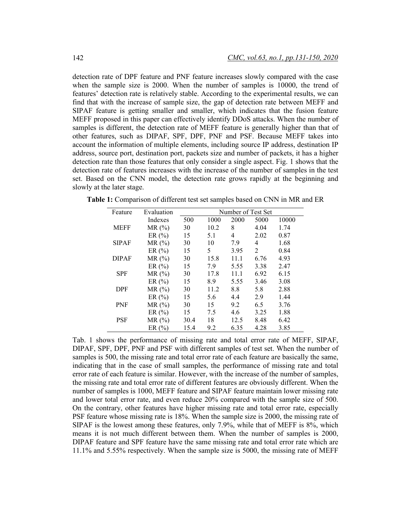detection rate of DPF feature and PNF feature increases slowly compared with the case when the sample size is 2000. When the number of samples is 10000, the trend of features' detection rate is relatively stable. According to the experimental results, we can find that with the increase of sample size, the gap of detection rate between MEFF and SIPAF feature is getting smaller and smaller, which indicates that the fusion feature MEFF proposed in this paper can effectively identify DDoS attacks. When the number of samples is different, the detection rate of MEFF feature is generally higher than that of other features, such as DIPAF, SPF, DPF, PNF and PSF. Because MEFF takes into account the information of multiple elements, including source IP address, destination IP address, source port, destination port, packets size and number of packets, it has a higher detection rate than those features that only consider a single aspect. Fig. 1 shows that the detection rate of features increases with the increase of the number of samples in the test set. Based on the CNN model, the detection rate grows rapidly at the beginning and slowly at the later stage.

| Feature      | Evaluation | Number of Test Set |      |      |      |       |
|--------------|------------|--------------------|------|------|------|-------|
|              | Indexes    | 500                | 1000 | 2000 | 5000 | 10000 |
| <b>MEFF</b>  | $MR(\%)$   | 30                 | 10.2 | 8    | 4.04 | 1.74  |
|              | ER $(\% )$ | 15                 | 5.1  | 4    | 2.02 | 0.87  |
| <b>SIPAF</b> | $MR(\%)$   | 30                 | 10   | 7.9  | 4    | 1.68  |
|              | ER $(\%$   | 15                 | 5    | 3.95 | 2    | 0.84  |
| <b>DIPAF</b> | MR(%)      | 30                 | 15.8 | 11.1 | 6.76 | 4.93  |
|              | ER $(\% )$ | 15                 | 7.9  | 5.55 | 3.38 | 2.47  |
| <b>SPF</b>   | $MR(\%)$   | 30                 | 17.8 | 11.1 | 6.92 | 6.15  |
|              | ER $(\% )$ | 15                 | 8.9  | 5.55 | 3.46 | 3.08  |
| <b>DPF</b>   | $MR(\%)$   | 30                 | 11.2 | 8.8  | 5.8  | 2.88  |
|              | ER $(\% )$ | 15                 | 5.6  | 4.4  | 2.9  | 1.44  |
| <b>PNF</b>   | $MR(\%)$   | 30                 | 15   | 9.2  | 6.5  | 3.76  |
|              | ER $(\% )$ | 15                 | 7.5  | 4.6  | 3.25 | 1.88  |
| <b>PSF</b>   | $MR(\%)$   | 30.4               | 18   | 12.5 | 8.48 | 6.42  |
|              | ER $(\% )$ | 15.4               | 9.2  | 6.35 | 4.28 | 3.85  |

**Table 1:** Comparison of different test set samples based on CNN in MR and ER

Tab. 1 shows the performance of missing rate and total error rate of MEFF, SIPAF, DIPAF, SPF, DPF, PNF and PSF with different samples of test set. When the number of samples is 500, the missing rate and total error rate of each feature are basically the same, indicating that in the case of small samples, the performance of missing rate and total error rate of each feature is similar. However, with the increase of the number of samples, the missing rate and total error rate of different features are obviously different. When the number of samples is 1000, MEFF feature and SIPAF feature maintain lower missing rate and lower total error rate, and even reduce 20% compared with the sample size of 500. On the contrary, other features have higher missing rate and total error rate, especially PSF feature whose missing rate is 18%. When the sample size is 2000, the missing rate of SIPAF is the lowest among these features, only 7.9%, while that of MEFF is 8%, which means it is not much different between them. When the number of samples is 2000, DIPAF feature and SPF feature have the same missing rate and total error rate which are 11.1% and 5.55% respectively. When the sample size is 5000, the missing rate of MEFF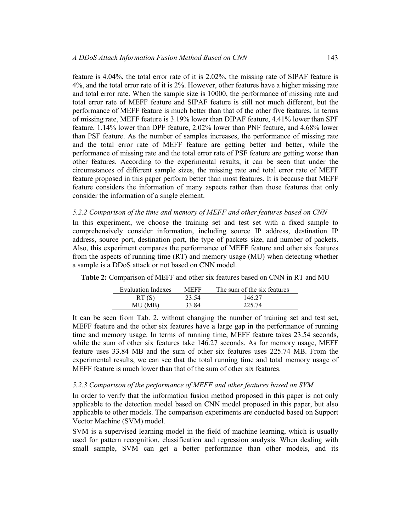feature is 4.04%, the total error rate of it is 2.02%, the missing rate of SIPAF feature is 4%, and the total error rate of it is 2%. However, other features have a higher missing rate and total error rate. When the sample size is 10000, the performance of missing rate and total error rate of MEFF feature and SIPAF feature is still not much different, but the performance of MEFF feature is much better than that of the other five features. In terms of missing rate, MEFF feature is 3.19% lower than DIPAF feature, 4.41% lower than SPF feature, 1.14% lower than DPF feature, 2.02% lower than PNF feature, and 4.68% lower than PSF feature. As the number of samples increases, the performance of missing rate and the total error rate of MEFF feature are getting better and better, while the performance of missing rate and the total error rate of PSF feature are getting worse than other features. According to the experimental results, it can be seen that under the circumstances of different sample sizes, the missing rate and total error rate of MEFF feature proposed in this paper perform better than most features. It is because that MEFF feature considers the information of many aspects rather than those features that only consider the information of a single element.

## *5.2.2 Comparison of the time and memory of MEFF and other features based on CNN*

In this experiment, we choose the training set and test set with a fixed sample to comprehensively consider information, including source IP address, destination IP address, source port, destination port, the type of packets size, and number of packets. Also, this experiment compares the performance of MEFF feature and other six features from the aspects of running time (RT) and memory usage (MU) when detecting whether a sample is a DDoS attack or not based on CNN model.

| <b>Evaluation Indexes</b> | <b>MEFF</b> | The sum of the six features |
|---------------------------|-------------|-----------------------------|
| RT(S)                     | 23.54       | 146.27                      |
| MU (MB)                   | 33.84       | 225.74                      |

**Table 2:** Comparison of MEFF and other six features based on CNN in RT and MU

It can be seen from Tab. 2, without changing the number of training set and test set, MEFF feature and the other six features have a large gap in the performance of running time and memory usage. In terms of running time, MEFF feature takes 23.54 seconds, while the sum of other six features take 146.27 seconds. As for memory usage, MEFF feature uses 33.84 MB and the sum of other six features uses 225.74 MB. From the experimental results, we can see that the total running time and total memory usage of MEFF feature is much lower than that of the sum of other six features.

# *5.2.3 Comparison of the performance of MEFF and other features based on SVM*

In order to verify that the information fusion method proposed in this paper is not only applicable to the detection model based on CNN model proposed in this paper, but also applicable to other models. The comparison experiments are conducted based on Support Vector Machine (SVM) model.

SVM is a supervised learning model in the field of machine learning, which is usually used for pattern recognition, classification and regression analysis. When dealing with small sample, SVM can get a better performance than other models, and its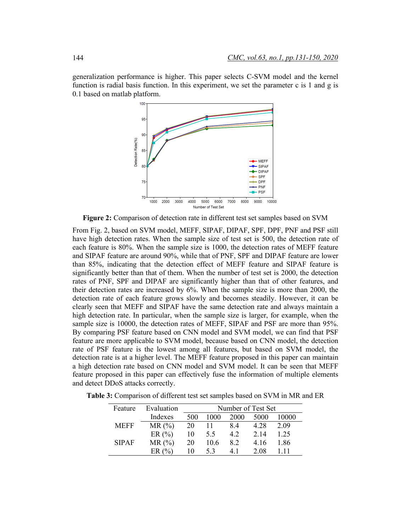generalization performance is higher. This paper selects C-SVM model and the kernel function is radial basis function. In this experiment, we set the parameter c is 1 and g is 0.1 based on matlab platform.



**Figure 2:** Comparison of detection rate in different test set samples based on SVM

From Fig. 2, based on SVM model, MEFF, SIPAF, DIPAF, SPF, DPF, PNF and PSF still have high detection rates. When the sample size of test set is 500, the detection rate of each feature is 80%. When the sample size is 1000, the detection rates of MEFF feature and SIPAF feature are around 90%, while that of PNF, SPF and DIPAF feature are lower than 85%, indicating that the detection effect of MEFF feature and SIPAF feature is significantly better than that of them. When the number of test set is 2000, the detection rates of PNF, SPF and DIPAF are significantly higher than that of other features, and their detection rates are increased by 6%. When the sample size is more than 2000, the detection rate of each feature grows slowly and becomes steadily. However, it can be clearly seen that MEFF and SIPAF have the same detection rate and always maintain a high detection rate. In particular, when the sample size is larger, for example, when the sample size is 10000, the detection rates of MEFF, SIPAF and PSF are more than 95%. By comparing PSF feature based on CNN model and SVM model, we can find that PSF feature are more applicable to SVM model, because based on CNN model, the detection rate of PSF feature is the lowest among all features, but based on SVM model, the detection rate is at a higher level. The MEFF feature proposed in this paper can maintain a high detection rate based on CNN model and SVM model. It can be seen that MEFF feature proposed in this paper can effectively fuse the information of multiple elements and detect DDoS attacks correctly.

**Table 3:** Comparison of different test set samples based on SVM in MR and ER

| Feature      | Evaluation | Number of Test Set |      |             |       |       |
|--------------|------------|--------------------|------|-------------|-------|-------|
|              | Indexes    | 500                | 1000 | <b>2000</b> | 5000  | 10000 |
| <b>MEFF</b>  | $MR(\%)$   | 20                 | 11   | 84          | 4 2 8 | 2.09  |
|              | ER $(\% )$ | 10                 | 5.5  | 4.2         | 2.14  | 1.25  |
| <b>SIPAF</b> | $MR(\%)$   | 20                 | 10.6 | 82          | 4.16  | 1.86  |
|              | ER $(%)$   | 10                 | 53   | 4 I         | 2.08  | 111   |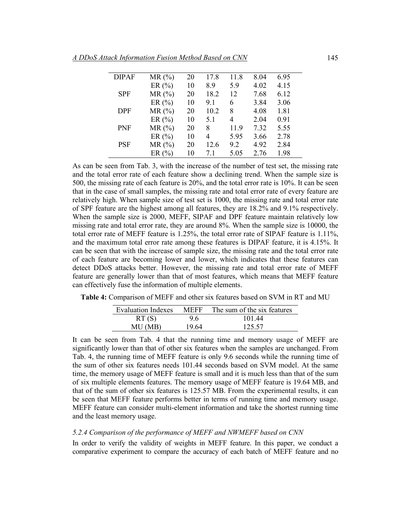| A DDoS Attack Information Fusion Method Based on CNN |  |
|------------------------------------------------------|--|
|                                                      |  |

| <b>DIPAF</b> | MR(%)      | 20 | 17.8 | 11.8 | 8.04 | 6.95 |
|--------------|------------|----|------|------|------|------|
|              | ER $(\% )$ | 10 | 8.9  | 5.9  | 4.02 | 4.15 |
| <b>SPF</b>   | MR(%)      | 20 | 18.2 | 12   | 7.68 | 6.12 |
|              | ER $(\% )$ | 10 | 9.1  | 6    | 3.84 | 3.06 |
| <b>DPF</b>   | $MR(\%)$   | 20 | 10.2 | 8    | 4.08 | 1.81 |
|              | ER $(\% )$ | 10 | 5.1  | 4    | 2.04 | 0.91 |
| <b>PNF</b>   | MR(%)      | 20 | 8    | 11.9 | 7.32 | 5.55 |
|              | ER $(\% )$ | 10 | 4    | 5.95 | 3.66 | 2.78 |
| <b>PSF</b>   | MR(%)      | 20 | 12.6 | 9.2  | 4.92 | 2.84 |
|              | ER $(%)$   | 10 | 71   | 5.05 | 2 76 | 1.98 |

As can be seen from Tab. 3, with the increase of the number of test set, the missing rate and the total error rate of each feature show a declining trend. When the sample size is 500, the missing rate of each feature is 20%, and the total error rate is 10%. It can be seen that in the case of small samples, the missing rate and total error rate of every feature are relatively high. When sample size of test set is 1000, the missing rate and total error rate of SPF feature are the highest among all features, they are 18.2% and 9.1% respectively. When the sample size is 2000, MEFF, SIPAF and DPF feature maintain relatively low missing rate and total error rate, they are around 8%. When the sample size is 10000, the total error rate of MEFF feature is 1.25%, the total error rate of SIPAF feature is 1.11%, and the maximum total error rate among these features is DIPAF feature, it is 4.15%. It can be seen that with the increase of sample size, the missing rate and the total error rate of each feature are becoming lower and lower, which indicates that these features can detect DDoS attacks better. However, the missing rate and total error rate of MEFF feature are generally lower than that of most features, which means that MEFF feature can effectively fuse the information of multiple elements.

**Table 4:** Comparison of MEFF and other six features based on SVM in RT and MU

| <b>Evaluation Indexes</b> | <b>MEFF</b> | The sum of the six features |
|---------------------------|-------------|-----------------------------|
| RT(S)                     | 96          | 101.44                      |
| MU (MB)                   | 19.64       | 125.57                      |

It can be seen from Tab. 4 that the running time and memory usage of MEFF are significantly lower than that of other six features when the samples are unchanged. From Tab. 4, the running time of MEFF feature is only 9.6 seconds while the running time of the sum of other six features needs 101.44 seconds based on SVM model. At the same time, the memory usage of MEFF feature is small and it is much less than that of the sum of six multiple elements features. The memory usage of MEFF feature is 19.64 MB, and that of the sum of other six features is 125.57 MB. From the experimental results, it can be seen that MEFF feature performs better in terms of running time and memory usage. MEFF feature can consider multi-element information and take the shortest running time and the least memory usage.

# *5.2.4 Comparison of the performance of MEFF and NWMEFF based on CNN*

In order to verify the validity of weights in MEFF feature. In this paper, we conduct a comparative experiment to compare the accuracy of each batch of MEFF feature and no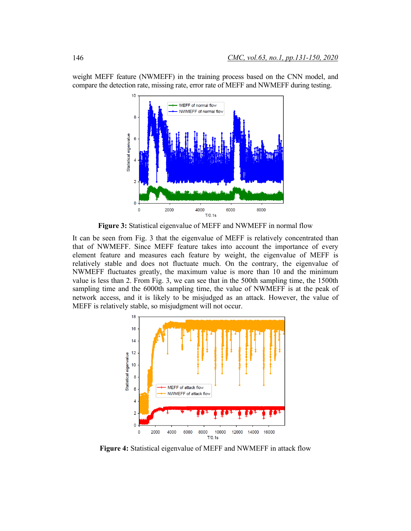

weight MEFF feature (NWMEFF) in the training process based on the CNN model, and compare the detection rate, missing rate, error rate of MEFF and NWMEFF during testing.

**Figure 3:** Statistical eigenvalue of MEFF and NWMEFF in normal flow

It can be seen from Fig. 3 that the eigenvalue of MEFF is relatively concentrated than that of NWMEFF. Since MEFF feature takes into account the importance of every element feature and measures each feature by weight, the eigenvalue of MEFF is relatively stable and does not fluctuate much. On the contrary, the eigenvalue of NWMEFF fluctuates greatly, the maximum value is more than 10 and the minimum value is less than 2. From Fig. 3, we can see that in the 500th sampling time, the 1500th sampling time and the 6000th sampling time, the value of NWMEFF is at the peak of network access, and it is likely to be misjudged as an attack. However, the value of MEFF is relatively stable, so misjudgment will not occur.



**Figure 4:** Statistical eigenvalue of MEFF and NWMEFF in attack flow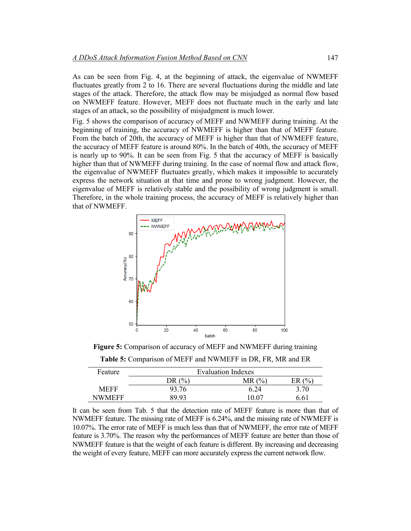As can be seen from Fig. 4, at the beginning of attack, the eigenvalue of NWMEFF fluctuates greatly from 2 to 16. There are several fluctuations during the middle and late stages of the attack. Therefore, the attack flow may be misjudged as normal flow based on NWMEFF feature. However, MEFF does not fluctuate much in the early and late stages of an attack, so the possibility of misjudgment is much lower.

Fig. 5 shows the comparison of accuracy of MEFF and NWMEFF during training. At the beginning of training, the accuracy of NWMEFF is higher than that of MEFF feature. From the batch of 20th, the accuracy of MEFF is higher than that of NWMEFF feature, the accuracy of MEFF feature is around 80%. In the batch of 40th, the accuracy of MEFF is nearly up to 90%. It can be seen from Fig. 5 that the accuracy of MEFF is basically higher than that of NWMEFF during training. In the case of normal flow and attack flow, the eigenvalue of NWMEFF fluctuates greatly, which makes it impossible to accurately express the network situation at that time and prone to wrong judgment. However, the eigenvalue of MEFF is relatively stable and the possibility of wrong judgment is small. Therefore, in the whole training process, the accuracy of MEFF is relatively higher than that of NWMEFF.



**Figure 5:** Comparison of accuracy of MEFF and NWMEFF during training

**Table 5:** Comparison of MEFF and NWMEFF in DR, FR, MR and ER

| Feature     | <b>Evaluation Indexes</b> |       |                  |  |  |
|-------------|---------------------------|-------|------------------|--|--|
|             | $(% ^{6}$<br>DR.          | MR(%) | $($ %<br>FR      |  |  |
| <b>MEFF</b> | 93.76                     | 6.24  | 3.70             |  |  |
| NWMEFF      | 89 93                     | 10.07 | 6.6 <sup>1</sup> |  |  |

It can be seen from Tab. 5 that the detection rate of MEFF feature is more than that of NWMEFF feature. The missing rate of MEFF is 6.24%, and the missing rate of NWMEFF is 10.07%. The error rate of MEFF is much less than that of NWMEFF, the error rate of MEFF feature is 3.70%. The reason why the performances of MEFF feature are better than those of NWMEFF feature is that the weight of each feature is different. By increasing and decreasing the weight of every feature, MEFF can more accurately express the current network flow.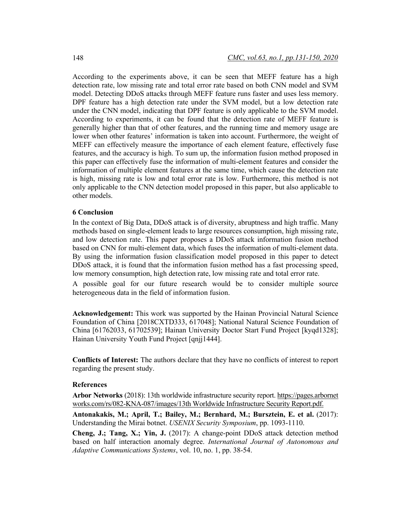According to the experiments above, it can be seen that MEFF feature has a high detection rate, low missing rate and total error rate based on both CNN model and SVM model. Detecting DDoS attacks through MEFF feature runs faster and uses less memory. DPF feature has a high detection rate under the SVM model, but a low detection rate under the CNN model, indicating that DPF feature is only applicable to the SVM model. According to experiments, it can be found that the detection rate of MEFF feature is generally higher than that of other features, and the running time and memory usage are lower when other features' information is taken into account. Furthermore, the weight of MEFF can effectively measure the importance of each element feature, effectively fuse features, and the accuracy is high. To sum up, the information fusion method proposed in this paper can effectively fuse the information of multi-element features and consider the information of multiple element features at the same time, which cause the detection rate is high, missing rate is low and total error rate is low. Furthermore, this method is not only applicable to the CNN detection model proposed in this paper, but also applicable to other models.

#### **6 Conclusion**

In the context of Big Data, DDoS attack is of diversity, abruptness and high traffic. Many methods based on single-element leads to large resources consumption, high missing rate, and low detection rate. This paper proposes a DDoS attack information fusion method based on CNN for multi-element data, which fuses the information of multi-element data. By using the information fusion classification model proposed in this paper to detect DDoS attack, it is found that the information fusion method has a fast processing speed, low memory consumption, high detection rate, low missing rate and total error rate.

A possible goal for our future research would be to consider multiple source heterogeneous data in the field of information fusion.

**Acknowledgement:** This work was supported by the Hainan Provincial Natural Science Foundation of China [2018CXTD333, 617048]; National Natural Science Foundation of China [61762033, 61702539]; Hainan University Doctor Start Fund Project [kyqd1328]; Hainan University Youth Fund Project [qnjj1444].

**Conflicts of Interest:** The authors declare that they have no conflicts of interest to report regarding the present study.

#### **References**

**Arbor Networks** (2018): 13th worldwide infrastructure security report. https://pages.arbornet works.com/rs/082-KNA-087/images/13th Worldwide Infrastructure Security Report.pdf.

**Antonakakis, M.; April, T.; Bailey, M.; Bernhard, M.; Bursztein, E. et al.** (2017): Understanding the Mirai botnet. *USENIX Security Symposium*, pp. 1093-1110.

**Cheng, J.; Tang, X.; Yin, J.** (2017): A change-point DDoS attack detection method based on half interaction anomaly degree. *International Journal of Autonomous and Adaptive Communications Systems*, vol. 10, no. 1, pp. 38-54.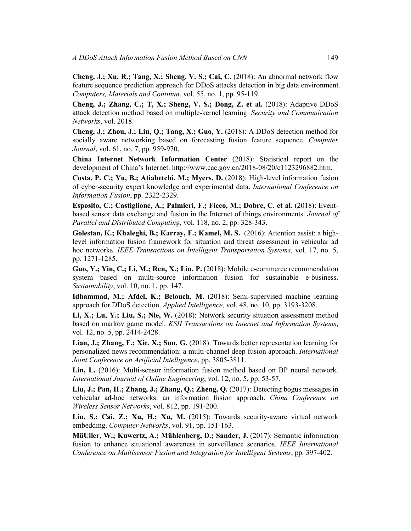**Cheng, J.; Xu, R.; Tang, X.; Sheng, V. S.; Cai, C.** (2018): An abnormal network flow feature sequence prediction approach for DDoS attacks detection in big data environment. *Computers, Materials and Continua*, vol. 55, no. 1, pp. 95-119.

**Cheng, J.; Zhang, C.; T, X.; Sheng, V. S.; Dong, Z. et al.** (2018): Adaptive DDoS attack detection method based on multiple-kernel learning. *Security and Communication Networks*, vol. 2018.

**Cheng, J.; Zhou, J.; Liu, Q.; Tang, X.; Guo, Y.** (2018): A DDoS detection method for socially aware networking based on forecasting fusion feature sequence. *Computer Journal*, vol. 61, no. 7, pp. 959-970.

**China Internet Network Information Center** (2018): Statistical report on the development of China's Internet. http://www.cac.gov.cn/2018-08/20/c1123296882.htm.

**Costa, P. C.; Yu, B.; Atiahetchi, M.; Myers, D.** (2018): High-level information fusion of cyber-security expert knowledge and experimental data. *International Conference on Information Fusion*, pp. 2322-2329.

**Esposito, C.; Castiglione, A.; Palmieri, F.; Ficco, M.; Dobre, C. et al.** (2018): Eventbased sensor data exchange and fusion in the Internet of things environments. *Journal of Parallel and Distributed Computing*, vol. 118, no. 2, pp. 328-343.

**Golestan, K.; Khaleghi, B.; Karray, F.; Kamel, M. S.** (2016): Attention assist: a highlevel information fusion framework for situation and threat assessment in vehicular ad hoc networks. *IEEE Transactions on Intelligent Transportation Systems*, vol. 17, no. 5, pp. 1271-1285.

**Guo, Y.; Yin, C.; Li, M.; Ren, X.; Liu, P.** (2018): Mobile e-commerce recommendation system based on multi-source information fusion for sustainable e-business. *Sustainability*, vol. 10, no. 1, pp. 147.

**Idhammad, M.; Afdel, K.; Belouch, M.** (2018): Semi-supervised machine learning approach for DDoS detection. *Applied Intelligence*, vol. 48, no. 10, pp. 3193-3208.

**Li, X.; Lu, Y.; Liu, S.; Nie, W.** (2018): Network security situation assessment method based on markov game model. *KSII Transactions on Internet and Information Systems*, vol. 12, no. 5, pp. 2414-2428.

**Lian, J.; Zhang, F.; Xie, X.; Sun, G.** (2018): Towards better representation learning for personalized news recommendation: a multi-channel deep fusion approach. *International Joint Conference on Artificial Intelligence*, pp. 3805-3811.

**Lin, L.** (2016): Multi-sensor information fusion method based on BP neural network. *International Journal of Online Engineering*, vol. 12, no. 5, pp. 53-57.

**Liu, J.; Pan, H.; Zhang, J.; Zhang, Q.; Zheng, Q.** (2017): Detecting bogus messages in vehicular ad-hoc networks: an information fusion approach. *China Conference on Wireless Sensor Networks*, vol. 812, pp. 191-200.

**Liu, S.; Cai, Z.; Xu, H.; Xu, M.** (2015): Towards security-aware virtual network embedding. *Computer Networks*, vol. 91, pp. 151-163.

**MüUller, W.; Kuwertz, A.; Mühlenberg, D.; Sander, J.** (2017): Semantic information fusion to enhance situational awareness in surveillance scenarios. *IEEE International Conference on Multisensor Fusion and Integration for Intelligent Systems*, pp. 397-402.